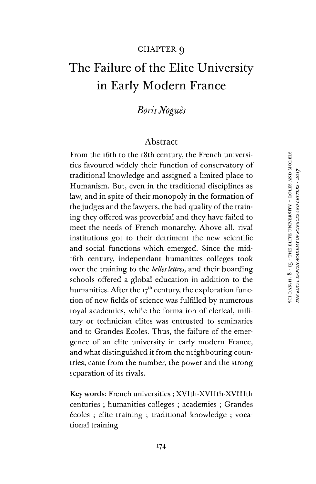#### CHAPTER g

# The Failure of the Elite University in Early Modern France

# *BorisNogués*

## Abstract

From the 16th to the 18th century, the French universities favoured widely their function of conservatory of traditional knowledge and assigned a limited place to Humanism. But, even in the traditional disciplines as law, and in spite of their monopoly in the formation of the judges and the lawyers, the bad quality of the training they offered was proverbial and they have failed to meet the needs of French monarchy. Above all, rival institutions got to their detriment the new scientific and social functions which emerged. Since the mid-16th century, independant humanities colleges took over the training to the *belles lettres,* and their boarding schools offered a global education in addition to the humanities. After the  $17<sup>th</sup>$  century, the exploration function of new fields of science was fulfilled by numerous royal academies, while the formation of clerical, military or technician elites was entrusted to seminaries and to Grandes Ecoles. Thus, the failure of the emergence of an elite university in early modern France, and what distinguished it from the neighbouring countries, came from the number, the power and the strong separation of its rivals.

Keywords: French universities ; XVIth-XVIIth-XVIIIth centuries ; humanities colleges ; academies ; Grandes écoles ; elite training ; traditional knowledge ; vocational training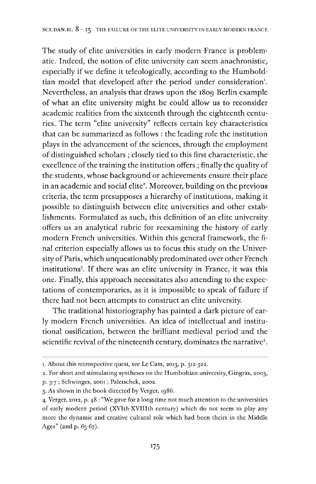The study of elite universities in early modern France is problematic. Indeed, the notion of elite university can seem anachronistic, especially if we define it teleologically, according to the Humbold-tian model that developed after the period under consideration<sup>[1](#page-1-0)</sup>. Nevertheless, an analysis that draws upon the 1809 Berlin example of what an elite university might be could allow us to reconsider academic realities from the sixteenth through the eighteenth centuries. The term "elite university" reflects certain key characteristics that can be summarized as follows : the leading role the institution plays in the advancement of the sciences, through the employment of distinguished scholars ; closely tied to this first characteristic, the excellence of the training the institution offers; finally the quality of the students, whose background or achievements ensure their place in an academic and social elite<sup>2</sup>. Moreover, building on the previous criteria, the term presupposes a hierarchy of institutions, making it possible to distinguish between elite universities and other establishments. Formulated as such, this definition of an elite university offers us an analytical rubric for reexamining the history of early modern French universities. Within this general framework, the final criterion especially allows us to focus this study on the University of Paris, which unquestionably predominated over other French institutions<sup>[3](#page-1-1)</sup>. If there was an elite university in France, it was this one. Finally, this approach necessitates also attending to the expectations of contemporaries, as it is impossible to speak of failure if there had not been attempts to construct an elite university.

The traditional historiography has painted a dark picture of early modern French universities. An idea of intellectual and institutional ossification, between the brilliant medieval period and the scientific revival of the nineteenth century, dominates the narrative<sup>[4](#page-1-2)</sup>.

<span id="page-1-0"></span><sup>1.</sup> About this retrospective quest, see Le Cam, 2013, p. 312-322.

<sup>2.</sup> For short and stimulating syntheses on the Humboltian university, Gingras, 2003, p. 3-7 ; Schwinges, 2001; Paletschek, 2002.

<span id="page-1-1"></span><sup>3.</sup> As shown in the book directed by Verger, 1986.

<span id="page-1-2"></span><sup>4.</sup> Verger, 2012, p. 48 : "We gave for a long time not much attention to the universities of early modern period (XVIth-XVIIIth century) which do not seem to play any more the dynamic and creative cultural role which had been theirs in the Middle Ages" (and p. 65-67).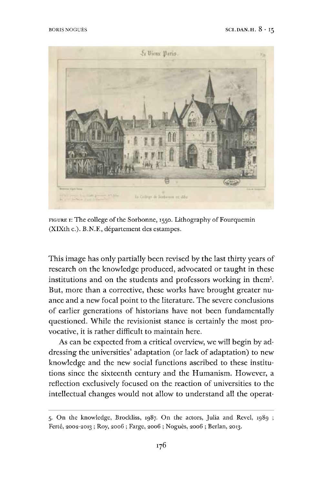

FIGURE 1: The college of the Sorbonne, 1550. Lithography of Fourquemin (XIXth c.). B.N.F., département des estampes.

This image has only partially been revised by the last thirty years of research on the knowledge produced, advocated or taught in these institutions and on the students and professors working in them[5](#page-2-0). But, more than a corrective, these works have brought greater nuance and a new focal point to the literature. The severe conclusions of earlier generations of historians have not been fundamentally questioned. While the revisionist stance is certainly the most provocative, it is rather difficult to maintain here.

As can be expected from a critical overview, we will begin by addressing the universities' adaptation (or lack of adaptation) to new knowledge and the new social functions ascribed to these institutions since the sixteenth century and the Humanism. However, a reflection exclusively focused on the reaction of universities to the intellectual changes would not allow to understand all the operat-

<span id="page-2-0"></span><sup>5.</sup> On the knowledge, Brockliss, 1987. On the actors, Julia and Revel, 1989 ; Ferté, 2002-2013 ; Roy, 2006 ; Farge, 2006 ; Nogués, 2006 ; Berlan, 2013.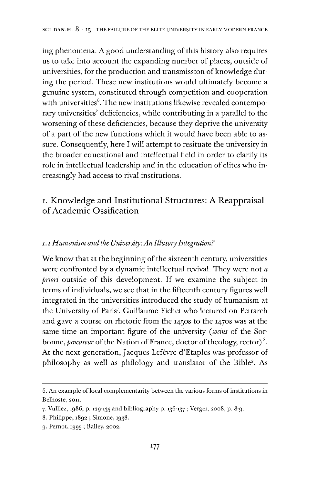ing phenomena. A good understanding of this history also requires us to take into account the expanding number of places, outside of universities, for the production and transmission of knowledge during the period. These new institutions would ultimately become a genuine system, constituted through competition and cooperation with universities<sup>[6](#page-3-0)</sup>. The new institutions likewise revealed contemporary universities' deficiencies, while contributing in a parallel to the worsening of these deficiencies, because they deprive the university of a part of the new functions which it would have been able to assure. Consequently, here I will attempt to resituate the university in the broader educational and intellectual field in order to clarify its role in intellectual leadership and in the education of elites who increasingly had access to rival institutions.

# i. Knowledge and Institutional Structures: A Reappraisal ofAcademic Ossification

#### *1.1Humanism andthe University:An Illusory Integration?*

We know that at the beginning of the sixteenth century, universities were confronted by a dynamic intellectual revival. They were not *a priori* outside of this development. If we examine the subject in terms of individuals, we see that in the fifteenth century figures well integrated in the universities introduced the study of humanism at the University of Paris<sup>[7](#page-3-1)</sup>. Guillaume Fichet who lectured on Petrarch and gave a course on rhetoric from the 1450s to the 1470s was at the same time an important figure of the university *(socius* of the Sorbonne, *procureur* of the Nation of France, doctor of theology, rector)<sup>[8](#page-3-2)</sup>. At the next generation, Jacques Lefèvre d'Etaples was professor of philosophy as well as philology and translator of the Bible[9](#page-3-3). As

<span id="page-3-0"></span><sup>6.</sup> An example of local complementarity between the various forms of institutions in Belhoste, 2011.

<span id="page-3-1"></span><sup>7.</sup> Vulliez, 1986, p. 129-135 and bibliography p. 136-137 ; Verger, 2008, p. 8-9.

<span id="page-3-2"></span><sup>8.</sup> Philippe, 1892 ; Simone, 1938.

<span id="page-3-3"></span><sup>9.</sup> Pernot, 1995 ; Bailey, 2002.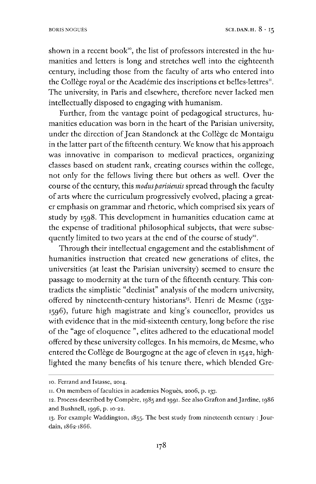shown in a recent book", the list of professors interested in the humanities and letters is long and stretches well into the eighteenth century, including those from the faculty of arts who entered into the Collège royal or the Académie des inscriptions et belles-lettres<sup> $n$ </sup>. The university, in Paris and elsewhere, therefore never lacked men intellectually disposed to engaging with humanism.

Further, from the vantage point of pedagogical structures, humanities education was born in the heart of the Parisian university, under the direction of Jean Standonck at the Collège de Montaigu in the latter part of the fifteenth century. We know that his approach was innovative in comparison to medieval practices, organizing classes based on student rank, creating courses within the college, not only for the fellows living there but others as well. Over the course of the century, this *modus parisiensis* spread through the faculty of arts where the curriculum progressively evolved, placing a greater emphasis on grammar and rhetoric, which comprised six years of study by 1598. This development in humanities education came at the expense of traditional philosophical subjects, that were subsequently limited to two years at the end of the course of study<sup>12</sup>.

Through their intellectual engagement and the establishment of humanities instruction that created new generations of elites, the universities (at least the Parisian university) seemed to ensure the passage to modernity at the turn of the fifteenth century. This contradicts the simplistic "declinist" analysis of the modern university, offered by nineteenth-century historians<sup>[13](#page-4-1)</sup>. Henri de Mesme  $(1532 - 164)$ 1596), future high magistrate and king's councellor, provides us with evidence that in the mid-sixteenth century, long before the rise of the "age of eloquence ", elites adhered to the educational model offered by these university colleges. In his memoirs, de Mesme, who entered the Collège de Bourgogne at the age of eleven in 1542, highlighted the many benefits of his tenure there, which blended Gre-

<sup>10.</sup> Ferrand and Istasse, 2014.

<span id="page-4-0"></span><sup>11.</sup> On members of faculties in academies Noguès, 2006, p. 137.

<sup>12.</sup> Process described by Compere, 1985 and 1991. See also Grafton andJardine, 1986 and Bushnell, 1996, p. 10-22.

<span id="page-4-1"></span><sup>13.</sup> For example Waddington, 1855. The best study from nineteenth century : Jourdain, 1862-1866.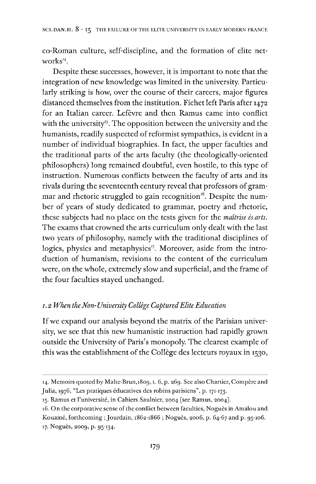co-Roman culture, self-discipline, and the formation of elite net-works<sup>[14](#page-5-0)</sup>.

Despite these successes, however, it is important to note that the integration of new knowledge was limited in the university. Particularly striking is how, over the course of their careers, major figures distanced themselves from the institution. Fichet left Paris after 1472 for an Italian career. Lefèvre and then Ramus came into conflict with the university<sup>[15](#page-5-1)</sup>. The opposition between the university and the humanists, readily suspected of reformist sympathies, is evident in a number of individual biographies. In fact, the upper faculties and the traditional parts of the arts faculty (the theologically-oriented philosophers) long remained doubtful, even hostile, to this type of instruction. Numerous conflicts between the faculty of arts and its rivals during the seventeenth century reveal that professors of gram-mar and rhetoric struggled to gain recognition<sup>[16](#page-5-2)</sup>. Despite the number of years of study dedicated to grammar, poetry and rhetoric, these subjects had no place on the tests given for the *maltrise és arts.* The exams that crowned the arts curriculum only dealt with the last two years of philosophy, namely with the traditional disciplines of logics, physics and metaphysics<sup>[17](#page-5-3)</sup>. Moreover, aside from the introduction of humanism, revisions to the content of the curriculum were, on the whole, extremely slow and superficial, and the frame of the four faculties stayed unchanged.

#### *i. 2 When theNon-University College CapturedElite Education*

If we expand our analysis beyond the matrix of the Parisian university, we see that this new humanistic instruction had rapidly grown outside the University of Paris's monopoly. The clearest example of this was the establishment of the Collège des lecteurs royaux in 1530,

- <span id="page-5-0"></span>14. Memoirs quoted by Malte-Brun,1809, t. 6, p. 269. See also Chartier, Compère and Julia, 1976, "Les pratiques éducatives des robins parisiens", p. 171-173.
- <span id="page-5-1"></span>15. Ramus et l'université, in Cahiers Saulnier, 2004 [see Ramus, 2004].

<span id="page-5-3"></span><span id="page-5-2"></span><sup>16.</sup> On the corporative sense of the conflict between faculties, Noguès in Amalou and Kouamé, forthcoming ; Jourdain, 1862-1866 ; Nogués, 2006, p. 64-67 and p. 95-106. 17. Nogués, 2009, p. 95-134.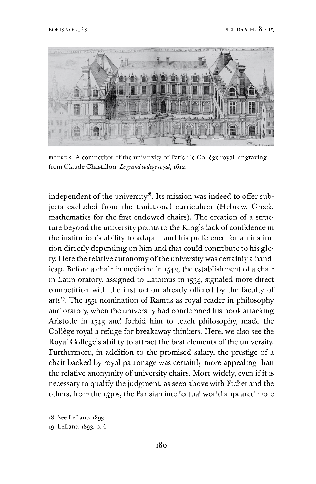

FIGURE 2: A competitor of the university of Paris : le Collège royal, engraving from Claude Chastillon, *Legrand college royal,* 1612.

independent of the university $^{18}$  $^{18}$  $^{18}$ . Its mission was indeed to offer subjects excluded from the traditional curriculum (Hebrew, Greek, mathematics for the first endowed chairs). The creation of a structure beyond the university points to the King's lack of confidence in the institution'<sup>s</sup> ability to adapt - and his preference for an institution directly depending on him and that could contribute to his glory. Here the relative autonomy of the university was certainly a handicap. Before a chair in medicine in 1542, the establishment of a chair in Latin oratory, assigned to Latomus in 1534, signaled more direct competition with the instruction already offered by the faculty of arts<sup>[19](#page-6-1)</sup>. The 1551 nomination of Ramus as royal reader in philosophy and oratory, when the university had condemned his book attacking Aristotle in 1543 and forbid him to teach philosophy, made the Collège royal a refuge for breakaway thinkers. Here, we also see the Royal College's ability to attract the best elements of the university. Furthermore, in addition to the promised salary, the prestige of a chair backed by royal patronage was certainly more appealing than the relative anonymity of university chairs. More widely, even if it is necessary to qualify the judgment, as seen above with Fichet and the others, from the 1530s, the Parisian intellectual world appeared more

<span id="page-6-0"></span><sup>18.</sup> See Lefranc, 1893.

<span id="page-6-1"></span><sup>19.</sup> Lefranc, 1893, p. 6.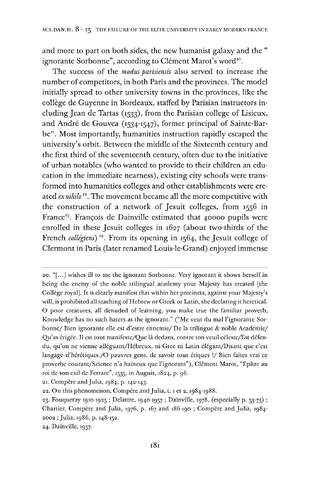and more to part on both sides, the new humanist galaxy and the " ignorante Sorbonne", according to Clément Marot's word<sup>20</sup>.

The success of the *modus parisiensis* also served to increase the number of competitors, in both Paris and the provinces. The model initially spread to other university towns in the provinces, like the college de Guyenne in Bordeaux, staffed by Parisian instructors including Jean de Tartas (1533), from the Parisian college of Lisieux, and André de Gouvea (1534-1547), former principal of Sainte-Bar $be^{2t}$ . Most importantly, humanities instruction rapidly escaped the university's orbit. Between the middle of the Sixteenth century and the first third of the seventeenth century, often due to the initiative of urban notables (who wanted to provide to their children an education in the immediate nearness), existing city schools were transformed into humanities colleges and other establishments were created *exnihilo[201](#page-7-0)2234.* The movement became all the more competitive with the construction of a network of Jesuit colleges, from 1556 in France<sup>33</sup>. François de Dainville estimated that 40000 pupils were enrolled in these Jesuit colleges in 1627 (about two-thirds of the French *collégiens*)<sup>24</sup>. From its opening in 1564, the Jesuit college of Clermont in Paris (later renamed Louis-le-Grand) enjoyed immense

<sup>20.</sup> "[...] wishes ill to me the ignorant Sorbonne. Very ignorant it shows herself in being the enemy of the noble trilingual academy your Majesty has created [the College royal]. It is clearly manifest that within her precincts, against your Majesty'<sup>s</sup> will, is prohibited all teaching of Hebrew or Greek or Latin, she declaring it heretical. O poor creatures, all denuded of learning, you make true the familiar proverb, Knowledge has no such haters as the ignorant." ("Me veut du mal l'ignorante Sorbonne/ Bien ignorante elle est d'estre ennemie/ De la trilingue & noble Académie/ Qu'as érigée. Il est tout manifeste/Que lå dedans, contre ton veuil céleste/Est défendu, qu'on ne vienne alléguant/Hébreux, ni Grec ni Latin élégant/Disant que c'est langage d'hérétiques./O pauvres gens, de savoir tous étiques !/ Bien faites vrai ce proverbe courant/Science n'a haineux que l'ignorant"), Clément Marot, "Epitre au roi de son exil de Ferrare", 1535, in Auguis, 1824, P- 96.

<sup>21.</sup> Compère and Julia, 1984, p. 142-143.

<span id="page-7-0"></span><sup>22.</sup> On this phenomenon, Compère and Julia, t. 1 et 2, 1984-1988.

<sup>23.</sup> Fouqueray 1910-1925 ; Delattre, 1940-1957 ; Dainville, 1978, (especially p. 53-73) ; Chartier, Compère and Julia, 1976, p. 167 and 186-190; Compère and Julia, 1984-2002 ; Julia, 1986, p. 148-152.

<sup>24.</sup> Dainville, 1957.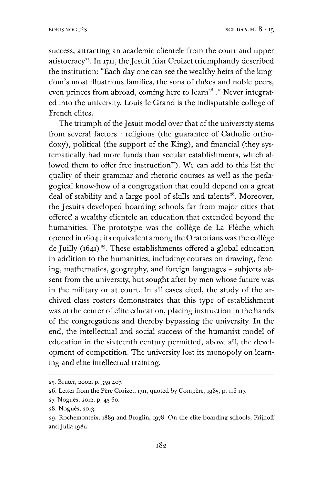success, attracting an academic clientele from the court and upper aristocracy<sup>25</sup>. In 1711, the Jesuit friar Croizet triumphantly described the institution: "Each day one can see the wealthy heirs of the kingdom's most illustrious families, the sons of dukes and noble peers, even princes from abroad, coming here to learn<sup>26</sup>." Never integrated into the university, Louis-le-Grand is the indisputable college of French elites.

The triumph of the Jesuit model over that of the university stems from several factors : religious (the guarantee of Catholic orthodoxy), political (the support of the King), and financial (they systematically had more funds than secular establishments, which allowed them to offer free instruction<sup>27</sup>). We can add to this list the quality of their grammar and rhetoric courses as well as the pedagogical know-how of a congregation that could depend on a great deal of stability and a large pool of skills and talents<sup>28</sup>. Moreover, the Jesuits developed boarding schools far from major cities that offered a wealthy clientele an education that extended beyond the humanities. The prototype was the collège de La Flèche which opened in 1604; its equivalent among the Oratorians was the collège de Juilly (1641)<sup>29</sup>. These establishments offered a global education in addition to the humanities, including courses on drawing, fencing, mathematics, geography, and foreign languages - subjects absent from the university, but sought after by men whose future was in the military or at court. In all cases cited, the study of the archived class rosters demonstrates that this type of establishment was at the center of elite education, placing instruction in the hands of the congregations and thereby bypassing the university. In the end, the intellectual and social success of the humanist model of education in the sixteenth century permitted, above all, the development of competition. The university lost its monopoly on learning and elite intellectual training.\*

<sup>25.</sup> Brüter, 2002, p. 359-407.

<sup>26.</sup> Letter from the Père Croizet, 1711, quoted by Compère, 1985, p. 116-117.

<sup>27.</sup> Nogués, 2012, p. 45-60.

<sup>28.</sup> Nogués, 2013.

<sup>29.</sup> Rochemonteix, 1889 and Broglin, 1978. On the elite boarding schools, Frijhoff andJulia 1981.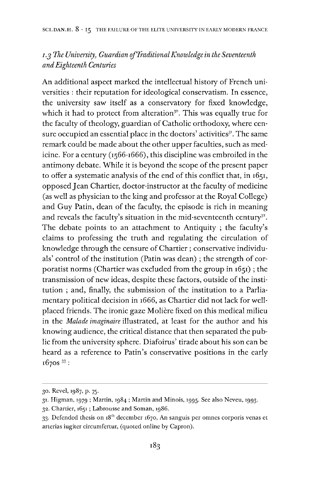## *i.ß The University, Guardian ofTraditionalKnowledge in the Seventeenth andEighteenth Centuries*

An additional aspect marked the intellectual history of French universities : their reputation for ideological conservatism. In essence, the university saw itself as a conservatory for fixed knowledge, which it had to protect from alteration<sup>[30](#page-9-0)</sup>. This was equally true for the faculty of theology, guardian of Catholic orthodoxy, where cen-sure occupied an essential place in the doctors' activities<sup>[31](#page-9-1)</sup>. The same remark could be made about the other upper faculties, such as medicine. For a century (1566-1666), this discipline was embroiled in the antimony debate. While it is beyond the scope of the present paper to offer a systematic analysis of the end of this conflict that, in 1651, opposed Jean Chartier, doctor-instructor at the faculty of medicine (as well as physician to the king and professor at the Royal College) and Guy Patin, dean of the faculty, the episode is rich in meaning and reveals the faculty's situation in the mid-seventeenth century<sup>32</sup>. The debate points to an attachment to Antiquity ; the faculty'<sup>s</sup> claims to professing the truth and regulating the circulation of knowledge through the censure of Chartier ; conservative individuals' control of the institution (Patin was dean) ; the strength of corporatist norms (Chartier was excluded from the group in 1651) ; the transmission of new ideas, despite these factors, outside of the institution ; and, finally, the submission of the institution to a Parliamentary political decision in 1666, as Chartier did not lack for wellplaced friends. The ironic gaze Moliére fixed on this medical milieu in the *Malade imaginaire* illustrated, at least for the author and his knowing audience, the critical distance that then separated the public from the university sphere. Diafoirus' tirade about his son can be heard as a reference to Patin's conservative positions in the early  $1670s$ <sup>33</sup>:

<span id="page-9-0"></span><sup>30.</sup> Revel, 1987, p. 75.

<span id="page-9-1"></span><sup>31.</sup> Higman, 1979 ; Martin, 1984 ; Martin and Minois, 1995. See also Neveu, 1993.

<sup>32.</sup> Chartier, 1651; Labrousse and Soman, 1986.

<sup>33.</sup> Defended thesis on  $18<sup>th</sup>$  december 1670, An sanguis per omnes corporis venas et arterias iugiter circumfertur, (quoted online by Capron).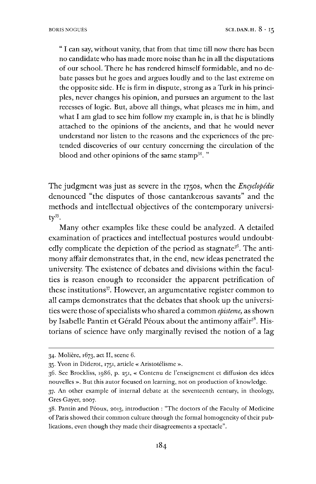" I can say, without vanity, that from that time till now there has been no candidate who has made more noise than he in all the disputations of our school. There he has rendered himself formidable, and no debate passes but he goes and argues loudly and to the last extreme on the opposite side. He is firm in dispute, strong as a Turk in his principles, never changes his opinion, and pursues an argument to the last recesses of logic. But, above all things, what pleases me in him, and what I am glad to see him follow my example in, is that he is blindly attached to the opinions of the ancients, and that he would never understand nor listen to the reasons and the experiences of the pretended discoveries of our century concerning the circulation of the blood and other opinions of the same stamp<sup>[34](#page-10-0)</sup>."

The judgment was just as severe in the 1750s, when the *Encyclopédie* denounced "the disputes of those cantankerous savants" and the methods and intellectual objectives of the contemporary university[35](#page-10-1).

Many other examples like these could be analyzed. A detailed examination of practices and intellectual postures would undoubt-edly complicate the depiction of the period as stagnate<sup>[36](#page-10-2)</sup>. The antimony affair demonstrates that, in the end, new ideas penetrated the university. The existence of debates and divisions within the faculties is reason enough to reconsider the apparent petrification of these institutions<sup>[37](#page-10-3)</sup>. However, an argumentative register common to all camps demonstrates that the debates that shook up the universities were those of specialists who shared a common *episteme*, as shown by Isabelle Pantin et Gérald Péoux about the antimony affair<sup>[38](#page-10-4)</sup>. Historians of science have only marginally revised the notion of a lag

<span id="page-10-0"></span><sup>34.</sup> Moliére, 1673, act II, scene 6.

<span id="page-10-1"></span><sup>35.</sup> Yvon in Diderot, 1751, article « Aristotélisme ».

<span id="page-10-2"></span><sup>36.</sup> See Brockliss, 1986, p. 251, « Contenu de l'enseignement et diffusion des idées nouvelles ». But this autor focused on learning, not on production of knowledge.

<span id="page-10-3"></span><sup>37.</sup> An other example of internal debate at the seventeenth century, in theology, Gres-Gayer, 2007.

<span id="page-10-4"></span><sup>38.</sup> Pantin and Péoux, 2013, introduction : "The doctors of the Faculty of Medicine of Paris showed their common culture through the formal homogeneity of their publications, even though they made their disagreements a spectacle".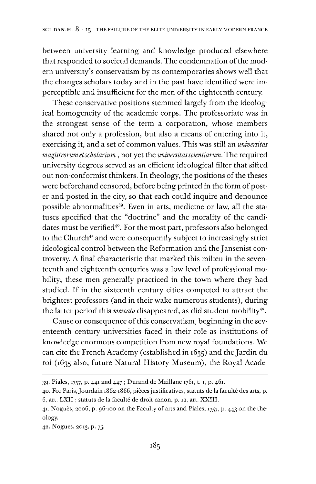between university learning and knowledge produced elsewhere that responded to societal demands. The condemnation of the modern university's conservatism by its contemporaries shows well that the changes scholars today and in the past have identified were imperceptible and insufficient for the men of the eighteenth century.

These conservative positions stemmed largely from the ideological homogeneity of the academic corps. The professoriate was in the strongest sense of the term a corporation, whose members shared not only a profession, but also a means of entering into it, exercising it, and a set of common values. This was still an *universitas magistrorum etscholarium ,* not yet the *universitasscientiarum.* The required university degrees served as an efficient ideological filter that sifted out non-conformist thinkers. In theology, the positions of the theses were beforehand censored, before being printed in the form of poster and posted in the city, so that each could inquire and denounce possible abnormalities<sup>[39](#page-11-0)</sup>. Even in arts, medicine or law, all the statuses specified that the "doctrine" and the morality of the candi-dates must be verified<sup>[40](#page-11-1)</sup>. For the most part, professors also belonged to the Church<sup>[41](#page-11-2)</sup> and were consequently subject to increasingly strict ideological control between the Reformation and the Jansenist controversy. A final characteristic that marked this milieu in the seventeenth and eighteenth centuries was a low level of professional mobility; these men generally practiced in the town where they had studied. If in the sixteenth century cities competed to attract the brightest professors (and in their wake numerous students), during the latter period this *mercato* disappeared, as did student mobility<sup>42</sup>.

Cause or consequence of this conservatism, beginning in the seventeenth century universities faced in their role as institutions of knowledge enormous competition from new royal foundations. We can cite the French Academy (established in 1635) and the Jardin du roi (1635 also, future Natural History Museum), the Royal Acade-

<span id="page-11-0"></span><sup>39.</sup> Piales, 1757, p. 441 and 447 ; Durand de Maillane 1761, t. 1, p. 461.

<span id="page-11-1"></span><sup>40.</sup> For Paris,Jourdain 1862-1866, piecesjustificatives, statuts de la faculté des arts, p. 6, art. LXII; statuts de la faculté de droit canon, p. 12, art. XXIII.

<span id="page-11-2"></span><sup>41.</sup> Nogués, 2006, p. 96-100 on the Faculty of arts and Piales, 1757, p. 443 on the theology.

<sup>42.</sup> Nogués, 2013, p. 75.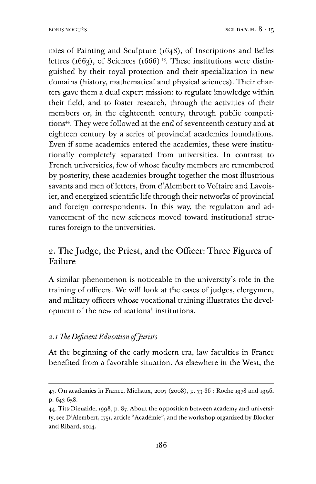mies of Painting and Sculpture (1648), of Inscriptions and Belles lettres ( $1663$ ), of Sciences ( $1666$ )<sup>[43](#page-12-0)</sup>. These institutions were distinguished by their royal protection and their specialization in new domains (history, mathematical and physical sciences). Their charters gave them a dual expert mission: to regulate knowledge within their field, and to foster research, through the activities of their members or, in the eighteenth century, through public competi-tions<sup>[44](#page-12-1)</sup>. They were followed at the end of seventeenth century and at eighteen century by a series of provincial academies foundations. Even if some academics entered the academies, these were institutionally completely separated from universities. In contrast to French universities, few of whose faculty members are remembered by posterity, these academies brought together the most illustrious savants and men of letters, from d'Alembert to Voltaire and Lavoisier, and energized scientific life through their networks of provincial and foreign correspondents. In this way, the regulation and advancement of the new sciences moved toward institutional structures foreign to the universities.

# 2. The Judge, the Priest, and the Officer: Three Figures of Failure

A similar phenomenon is noticeable in the university's role in the training of officers. We will look at the cases of judges, clergymen, and military officers whose vocational training illustrates the development of the new educational institutions.

#### *2. i The DeficientEducation ofJurists*

At the beginning of the early modern era, law faculties in France benefited from a favorable situation. As elsewhere in the West, the

<span id="page-12-0"></span><sup>43.</sup> On academies in France, Michaux, 2007 (2008), p. 73-86 ; Roche 1978 and 1996, p. 643-658.

<span id="page-12-1"></span><sup>44.</sup> Tits-Dieuaide, 1998, p. 87. About the opposition between academy and university, see D'Alembert, 1751, article "Académie", and the workshop organized by Blocker and Ribard, 2014.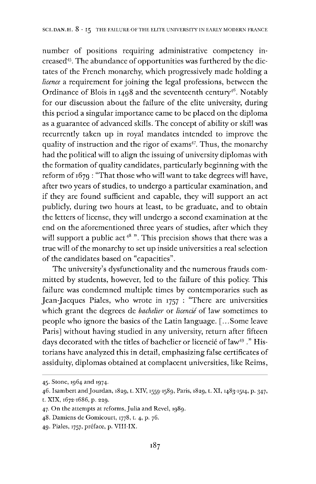number of positions requiring administrative competency in-creased<sup>[45](#page-13-0)</sup>. The abundance of opportunities was furthered by the dictates of the French monarchy, which progressively made holding a *licence* a requirement for joining the legal professions, between the Ordinance of Blois in 1498 and the seventeenth century<sup>[46](#page-13-1)</sup>. Notably for our discussion about the failure of the elite university, during this period a singular importance came to be placed on the diploma as a guarantee of advanced skills. The concept of ability or skill was recurrently taken up in royal mandates intended to improve the quality of instruction and the rigor of exams<sup>[47](#page-13-2)</sup>. Thus, the monarchy had the political will to align the issuing of university diplomas with the formation of quality candidates, particularly beginning with the reform of 1679 : "That those who will want to take degrees will have, after two years of studies, to undergo a particular examination, and if they are found sufficient and capable, they will support an act publicly, during two hours at least, to be graduate, and to obtain the letters of license, they will undergo a second examination at the end on the aforementioned three years of studies, after which they will support a public act<sup>[48](#page-13-3)</sup> ". This precision shows that there was a true will of the monarchy to set up inside universities a real selection of the candidates based on "capacities".

The university's dysfunctionality and the numerous frauds committed by students, however, led to the failure of this policy. This failure was condemned multiple times by contemporaries such as Jean-Jacques Piales, who wrote in 1757 : "There are universities which grant the degrees de *bachelier* or *licencié* of law sometimes to people who ignore the basics of the Latin language. [...Some leave Paris] without having studied in any university, return after fifteen days decorated with the titles of bachelier or licencié of law<sup>[49](#page-13-4)</sup>." Historians have analyzed this in detail, emphasizing false certificates of assiduity, diplomas obtained at complacent universities, like Reims,

<span id="page-13-0"></span><sup>45.</sup> Stone, 1964 and 1974.

<span id="page-13-1"></span><sup>46.</sup> Isambert and Jourdan, 1829, t. XIV, 1559-1589, Paris, 1829, t. XI, 1483-1514, p. 347, t. XIX, 1672-1686, p. 229.

<span id="page-13-2"></span><sup>47.</sup> On the attempts at reforms, Julia and Revel, 1989.

<span id="page-13-3"></span><sup>48.</sup> Damiens de Gomicourt, 1778, t. 4, p. 76.

<span id="page-13-4"></span><sup>49.</sup> Piales, 1757, preface, p. VIII-IX.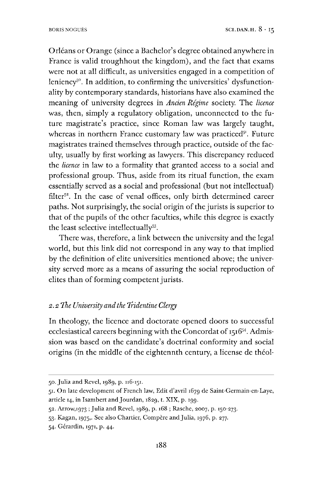Orléans or Orange (since a Bachelor's degree obtained anywhere in France is valid troughhout the kingdom), and the fact that exams were not at all difficult, as universities engaged in a competition of leniency<sup>50</sup>. In addition, to confirming the universities' dysfunctionality by contemporary standards, historians have also examined the meaning of university degrees in *Anden Régime* society. The *licence* was, then, simply a regulatory obligation, unconnected to the future magistrate's practice, since Roman law was largely taught, whereas in northern France customary law was practiced $5<sup>1</sup>$ . Future magistrates trained themselves through practice, outside of the faculty, usually by first working as lawyers. This discrepancy reduced the *licence* in law to a formality that granted access to a social and professional group. Thus, aside from its ritual function, the exam essentially served as a social and professional (but not intellectual) filter<sup>52</sup>. In the case of venal offices, only birth determined career paths. Not surprisingly, the social origin of the jurists is superior to that of the pupils of the other faculties, while this degree is exactly the least selective intellectually<sup>[53](#page-14-1)</sup>.

There was, therefore, a link between the university and the legal world, but this link did not correspond in any way to that implied by the definition of elite universities mentioned above; the university served more as a means of assuring the social reproduction of elites than of forming competent jurists.

#### *2.2 The University andthe Tridentine Clergy*

In theology, the licence and doctorate opened doors to successful ecclesiastical careers beginning with the Concordat of 1516<sup>[54](#page-14-2)</sup>. Admission was based on the candidate's doctrinal conformity and social origins (in the middle of the eightennth century, a license de théol-

<sup>50.</sup> Julia and Revel, 1989, p. 116-151.

<span id="page-14-0"></span><sup>51.</sup> On late development of French law, Edit d'avril 1679 de Saint-Germain-en-Laye, article 14, in Isambert and Jourdan, 1829, t. XIX, p. 199.

<sup>52.</sup> Arrow,1973 ; Julia and Revel, 1989, p. 168 ; Rasche, 2007, p. 150-273.

<span id="page-14-1"></span><sup>53.</sup> Kagan, 1975,. See also Chartier, Compere andJulia, 1976, p. 277.

<span id="page-14-2"></span><sup>54.</sup> Gérardin, 1971, p. 44.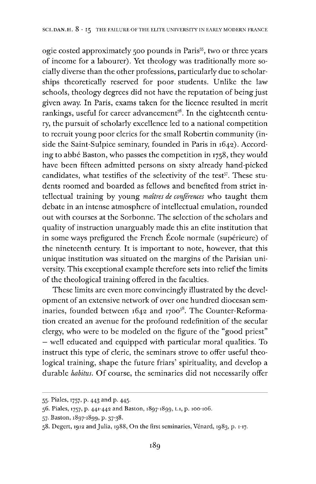ogie costed approximately 500 pounds in Paris<sup>[55](#page-15-0)</sup>, two or three years of income for a labourer). Yet theology was traditionally more socially diverse than the other professions, particularly due to scholarships theoretically reserved for poor students. Unlike the law schools, theology degrees did not have the reputation of being just given away. In Paris, exams taken for the licence resulted in merit rankings, useful for career advancement<sup>[56](#page-15-1)</sup>. In the eighteenth century, the pursuit of scholarly excellence led to a national competition to recruit young poor clerics for the small Robertin community (inside the Saint-Sulpice seminary, founded in Paris in 1642). According to abbé Baston, who passes the competition in 1758, they would have been fifteen admitted persons on sixty already hand-picked candidates, what testifies of the selectivity of the test<sup>[57](#page-15-2)</sup>. These students roomed and boarded as fellows and benefited from strict intellectual training by young *maitres de conferences* who taught them debate in an intense atmosphere of intellectual emulation, rounded out with courses at the Sorbonne. The selection of the scholars and quality of instruction unarguably made this an elite institution that in some ways prefigured the French Ecole normale (supérieure) of the nineteenth century. It is important to note, however, that this unique institution was situated on the margins of the Parisian university. This exceptional example therefore sets into relief the limits of the theological training offered in the faculties.

These limits are even more convincingly illustrated by the development of an extensive network of over one hundred diocesan seminaries, founded between  $1642$  and  $1700^{58}$  $1700^{58}$  $1700^{58}$ . The Counter-Reformation created an avenue for the profound redefinition of the secular clergy, who were to be modeled on the figure of the "good priest" — well educated and equipped with particular moral qualities. To instruct this type of cleric, the seminars strove to offer useful theological training, shape the future friars' spirituality, and develop a durable *habitus.* Of course, the seminaries did not necessarily offer

<span id="page-15-0"></span><sup>55.</sup> Piales, 1757, p. 443 and p. 445.

<span id="page-15-1"></span><sup>56.</sup> Piales, 1757, p. 441-442 and Baston, 1897-1899, t.i, p. 100-106.

<span id="page-15-2"></span><sup>57.</sup> Baston, 1897-1899, p. 37-38.

<span id="page-15-3"></span><sup>58.</sup> Degert, <sup>1912</sup> and Julia, 1988, On the first seminaries, Vénard, 1983, p. 1-17.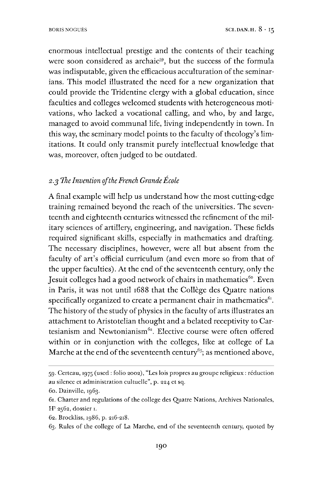enormous intellectual prestige and the contents of their teaching were soon considered as archaic<sup>[59](#page-16-0)</sup>, but the success of the formula was indisputable, given the efficacious acculturation of the seminarians. This model illustrated the need for a new organization that could provide the Tridentine clergy with a global education, since faculties and colleges welcomed students with heterogeneous motivations, who lacked a vocational calling, and who, by and large, managed to avoid communal life, living independently in town. In this way, the seminary model points to the faculty of theology's limitations. It could only transmit purely intellectual knowledge that was, moreover, often judged to be outdated.

## 2.5 *The Invention oftheFrench GrandeÉcole*

A final example will help us understand how the most cutting-edge training remained beyond the reach of the universities. The seventeenth and eighteenth centuries witnessed the refinement of the military sciences of artillery, engineering, and navigation. These fields required significant skills, especially in mathematics and drafting. The necessary disciplines, however, were all but absent from the faculty of art'<sup>s</sup> official curriculum (and even more so from that of the upper faculties). At the end of the seventeenth century, only the Jesuit colleges had a good network of chairs in mathematics<sup>[60](#page-16-1)</sup>. Even in Paris, it was not until 1688 that the College des Quatre nations specifically organized to create a permanent chair in mathematics $6<sup>i</sup>$ . The history of the study of physics in the faculty of arts illustrates an attachment to Aristotelian thought and a belated receptivity to Cartesianism and Newtonianism<sup>62</sup>. Elective course were often offered within or in conjunction with the colleges, like at college of La Marche at the end of the seventeenth century<sup>[63](#page-16-3)</sup>; as mentioned above,

<span id="page-16-0"></span><sup>59.</sup> Certeau, 1975 (used : folio 2002), "Les lois propres au groupe religieux : reduction au silence et administration cultuelle", p. 224 et sq.

<span id="page-16-1"></span><sup>60.</sup> Dainville, 1963.

<span id="page-16-2"></span><sup>61.</sup> Charter and regulations of the college des Quatre Nations, Archives Nationales, H<sup>3</sup> 2562, dossier 1.

<sup>62.</sup> Brockliss, 1986, p. 216-218.

<span id="page-16-3"></span><sup>63.</sup> Rules of the college of La Marche, end of the seventeenth century, quoted by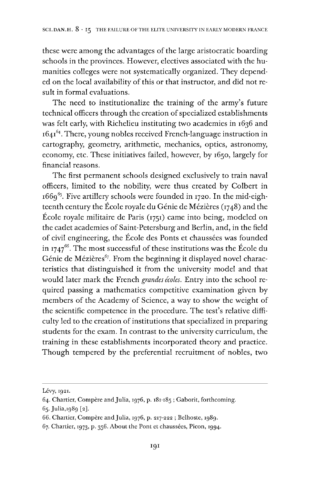these were among the advantages of the large aristocratic boarding schools in the provinces. However, electives associated with the humanities colleges were not systematically organized. They depended on the local availability of this or that instructor, and did not result in formal evaluations.

The need to institutionalize the training of the army's future technical officers through the creation of specialized establishments was felt early, with Richelieu instituting two academies in 1636 and 1641[64](#page-17-0). There, young nobles received French-language instruction in cartography, geometry, arithmetic, mechanics, optics, astronomy, economy, etc. These initiatives failed, however, by 1650, largely for financial reasons.

The first permanent schools designed exclusively to train naval officers, limited to the nobility, were thus created by Colbert in  $1669^{65}$  $1669^{65}$  $1669^{65}$ . Five artillery schools were founded in 1720. In the mid-eighteenth century the Ecole royale du Génie de Méziéres (1748) and the École royale militaire de Paris  $(1751)$  came into being, modeled on the cadet academies of Saint-Petersburg and Berlin, and, in the field of civil engineering, the Ecole des Ponts et chaussées was founded in 1747 $^{66}$  $^{66}$  $^{66}$ . The most successful of these institutions was the École du Génie de Mézières<sup>[67](#page-17-3)</sup>. From the beginning it displayed novel characteristics that distinguished it from the university model and that would later mark the French *grandes écoles.* Entry into the school required passing a mathematics competitive examination given by members of the Academy of Science, a way to show the weight of the scientific competence in the procedure. The test's relative difficulty led to the creation of institutions that specialized in preparing students for the exam. In contrast to the university curriculum, the training in these establishments incorporated theory and practice. Though tempered by the preferential recruitment of nobles, two

Lévy, 1921.

<span id="page-17-0"></span><sup>64.</sup> Chartier, Compère and Julia, 1976, p. 181-185; Gaborit, forthcoming.

<span id="page-17-1"></span><sup>65.</sup> Julia,1989 [2].

<span id="page-17-2"></span><sup>66.</sup> Chartier, Compère and Julia, 1976, p. 217-222 ; Belhoste, 1989.

<span id="page-17-3"></span><sup>67.</sup> Chartier, 1973, p. 356. About the Pont et chaussées, Picon, 1994.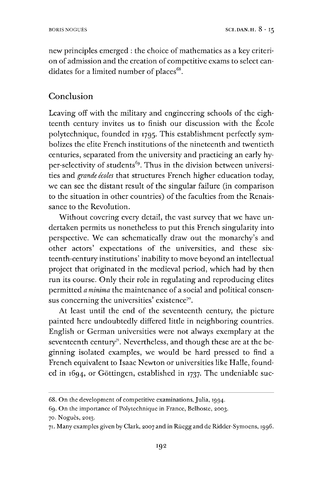new principles emerged : the choice of mathematics as a key criterion of admission and the creation of competitive exams to select candidates for a limited number of places $68$ .

## Conclusion

Leaving off with the military and engineering schools of the eighteenth century invites us to finish our discussion with the Ecole polytechnique, founded in 1795. This establishment perfectly symbolizes the elite French institutions of the nineteenth and twentieth centuries, separated from the university and practicing an early hy-per-selectivity of students<sup>[69](#page-18-1)</sup>. Thus in the division between universities and *grande <sup>e</sup>'coles* that structures French higher education today, we can see the distant result of the singular failure (in comparison to the situation in other countries) of the faculties from the Renaissance to the Revolution.

Without covering every detail, the vast survey that we have undertaken permits us nonetheless to put this French singularity into perspective. We can schematically draw out the monarchy's and other actors' expectations of the universities, and these sixteenth-century institutions' inability to move beyond an intellectual project that originated in the medieval period, which had by then run its course. Only their role in regulating and reproducing elites permitted *a minima* the maintenance of a social and political consen-sus concerning the universities' existence<sup>[7](#page-18-2)0</sup>.

At least until the end of the seventeenth century, the picture painted here undoubtedly differed little in neighboring countries. English or German universities were not always exemplary at the seventeenth century<sup> $\pi$ </sup>. Nevertheless, and though these are at the beginning isolated examples, we would be hard pressed to find a French equivalent to Isaac Newton or universities like Halle, founded in 1694, or Göttingen, established in 1737. The undeniable suc-

<span id="page-18-0"></span><sup>68.</sup> On the development of competitive examinations,Julia, 1994.

<span id="page-18-1"></span><sup>69.</sup> On the importance of Polytechnique in France, Belhoste, 2003.

<span id="page-18-2"></span><sup>70.</sup> Nogués, 2013.

<span id="page-18-3"></span><sup>71.</sup> Many examples given by Clark, 2007 and in Rüegg and de Ridder-Symoens, 1996.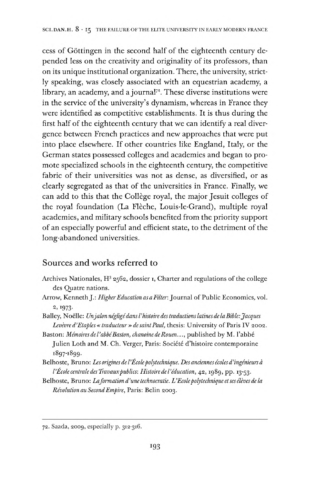cess of Göttingen in the second half of the eighteenth century depended less on the creativity and originality of its professors, than on its unique institutional organization. There, the university, strictly speaking, was closely associated with an equestrian academy, a library, an academy, and a journal $7^2$ . These diverse institutions were in the service of the university's dynamism, whereas in France they were identified as competitive establishments. It is thus during the first half of the eighteenth century that we can identify a real divergence between French practices and new approaches that were put into place elsewhere. If other countries like England, Italy, or the German states possessed colleges and academies and began to promote specialized schools in the eighteenth century, the competitive fabric of their universities was not as dense, as diversified, or as clearly segregated as that of the universities in France. Finally, we can add to this that the Collège royal, the major Jesuit colleges of the royal foundation (La Fléche, Louis-le-Grand), multiple royal academies, and military schools benefited from the priority support of an especially powerful and efficient state, to the detriment of the long-abandoned universities.

#### Sources and works referred to

- Archives Nationales, H<sup>3</sup> 2562, dossier 1, Charter and regulations of the college des Quatre nations.
- Arrow, Kenneth J.: *HigherEducation as aFilter.* Journal of Public Economics, vol. 2, 1973.
- Bailey, Noelle: *Unjalon negligédansl'histoire destraductionslatines de laBible:Jacques Levevred'Etaples«traducteur>> de saintPaul,* thesis: University of Paris IV 2002.
- Baston: *Mémoires de l'abbé Baston, chanoine de Rouen...,* published by M. l'abbé Julien Loth and M. Ch. Verger, Paris: Société d'histoire contemporaine i897-i899-
- Belhoste, Bruno: *Les origines de I'Ecolepolytechnique. Des andennes <sup>e</sup>'coles d'inge'nieurs a I'Ecolecentrale des Travauxpublics: Histoire de I'education,* 42,1989, pp. 13-53.
- Belhoste, Bruno: *Laformation d'une technocratic. L'Ecolepolytechnique etses éléves de la Révolution au Second Empire, Paris: Belin 2003.*

<sup>72.</sup> Saada, 2009, especially p. 312-316.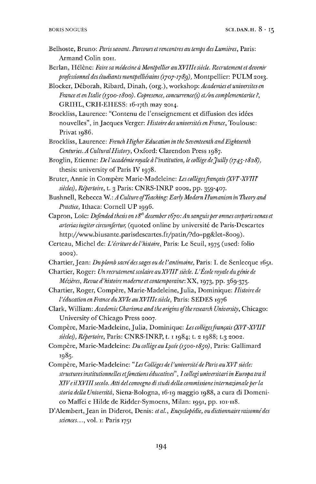- Belhoste, Bruno: *Parissavant. Parcours etrencontres au temps desLumiéres,* Paris: Armand Colin 2011.
- Berlan, Hélène: *Faire sa médecine à Montpellier au XVIIIe siècle. Recrutement et devenir professionnel des étudiantsmontpdliérains(1707-1789),* Montpellier: PULM 2013.
- Blocker, Deborah, Ribard, Dinah, (org.), workshop: *Academies et universites en France et en Italie (1500-1800). Copresence, concurrence^) et/ou complementarite ?,* GRIHL, CRH-EHESS: 16-17th may 2014.
- Brockliss, Laurence: "Contenu de l'enseignement et diffusion des idées nouvelles", in Jacques Verger: *Histoire des universites en France,* Toulouse: Privat 1986.
- Brockliss, Laurence: *French HigherEducation in the Seventeenth andEighteenth Centuries. A CulturalHistory,* Oxford: Clarendon Press 1987.
- Broglin, Etienne: *De <sup>1</sup>'académie royale ål'institution, le college deJuilly (1745-1828),* thesis: university of Paris IV 1978.
- Bruter, Annie in Compère Marie-Madeleine: *Les collèges francais (XVI<sup>e</sup>-XVIII<sup>e</sup>*) *siedes), Repertoire,* t. 3 Paris: CNRS-INRP 2002, pp. 359-407.
- Bushnell, Rebecca W.: *A Culture ofTeaching: Early Modern Humanism in Theory and Practice,* Ithaca: Cornell UP 1996.
- Capron, Lo'ic: *Defended thesis on 18th december1670:An sanguisper omnes corporis venas et arteriasiugitercircumfertur,* (quoted online by université de Paris-Descartes http://www.biusante.parisdescartes.fr/patin/?do=pg&let=8oo9).
- Certeau, Michel de: *L'écriture del'histoire,* Paris: Le Seuil, <sup>1975</sup> (used: folio 2002).
- Chartier,Jean: *Duplombsacrédessagesoudel'antimoine,* Paris: I. de Senlecque 1651.
- Chartier, Roger: *UnrecrutementscolaireauXVIIF siécle. L'Ecole royale du geniede Mezieres, Revued'hislorremoderne el conlemporamc.W,* 1973, pp. 369-375.
- Chartier, Roger, Compere, Marie-Madeleine,Julia, Dominique: *Histoire de l'éducation en France duXVIe auXVIIIesiécle,* Paris: SEDES <sup>1976</sup>
- Clark, William: *AcademicCharisma and the origins ofthe research University,* Chicago: University of Chicago Press 2007.
- Compère, Marie-Madeleine, Julia, Dominique: Les collèges français (XVF-XVIII<sup>e</sup> *siedes), Repertoire,* Paris: CNRS-INRP, 1.11984; t. 2 1988; t.3 2002.
- Compere, Marie-Madeleine: *Du college au Lycée (1500-1850),* Paris: Gallimard !985-
- Compere, Marie-Madeleine: *"Les Colleges del'universitédeParis auXVFsiede: structuresinstitutionnelles etfonctions éducatives", Icollegi universitari in Europa tra il XIVeUXVIIIsecolo. Atti del convegno distudi della commissione internazionaleperla storia della Universitå,* Siena-Bologna, 16-19 maggio 1988, a cura di Domenico Maffei e Hilde de Ridder-Symoens, Milan: 1991, pp. 101-118.
- D'Alembert,Jean in Diderot, Denis: *etal., Encyclopedic, oudictionnaireraisonnédes sciences...,* vol. 1: Paris <sup>1751</sup>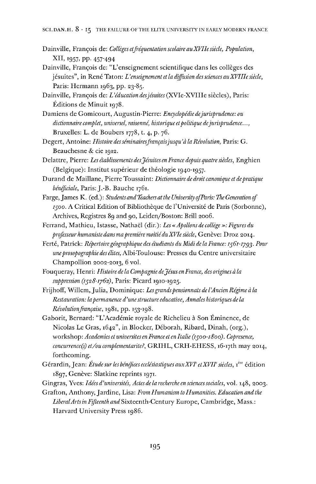- Dainville, Francois de: *Colleges etfréquentation scolaire auXVIIesiede, Population,* XII, 1957, pp. 457-494
- Dainville, Francois de: "L'enseignement scientifique dans les colleges des jésuites", in René Taton: *L'enseignement et la diffusion dessciences auXVIIIesiede,* Paris: Hermann 1963, pp. 23-85.

Dainville, Francois de: *L''education desjésuites* (XVIe-XVIIIe siedes), Paris: Editions de Minuit 1978.

- Damiens de Gomicourt, Augustin-Pierre: *Encyclopedic dejurisprudence: ou dictionnaire complet, universel, raisonné, historique etpolitique dejurisprudence...,* Bruxelles: L. de Boubers 1778, t. 4, p. 76.
- Degert, Antoine: *Histoire desséminairesfranqaisjusqu'åla Revolution,* Paris: G. Beauchesne & cie 1912.
- Delattre, Pierre: *Les etablissements desjésuites en France depuisquatre siedes,* Enghien (Belgique): Institut supérieur de théologie 1940-1957.
- Durand de Maillane, Pierre Toussaint: *Dictionnaire de droit canonique et depratique bénéjiciale,* Paris: J.-B. Bauche 1761.
- Farge, James K. (ed.): *Students and Teachers at the University of Paris: The Generation of* 1500. A Critical Edition of Bibliothèque de l'Université de Paris (Sorbonne), Archives, Registres 89 and 90, Leiden/Boston: Brill 2006.
- Ferrand, Mathieu, Istasse, Nathaél (dir.): *Les «Apollons de college »: Figures du professeur humaniste dansmapremiere moitiéduXVIe siede,* Geneve: Droz 2014.
- Ferté, Patrick: *Répertoiregéographique des étudiants du Midi de la France: 1561-1793. Pour uneprosopographiedesélites,* Albi-Toulouse: Presses du Centre universitaire Champollion 2002-2013, 6 vol.
- Fouqueray, Henri: *Histoire de la Compagnie deJesus en France, des origines å la suppression (1528-1762),* Paris: Picard 1910-1925.
- Frijhoff, Willem, Julia, Dominique: *Lesgrandspensionnats de l'Ancien Régime å la Restauration: lapermanence d'une structure educative, Annales historiques de la PUvolulwnfranca:se,* 1981, pp. 153-198.
- Gaborit, Bernard: "L'Académie royale de Richelieu å Son Eminence, de Nicolas Le Gras, 1642", in Blocker, Déborah, Ribard, Dinah, (org.), workshop: *AcademiesetuniversitesenFranceetenItalie (1500-1800). Copresence, concurrence^) et/ou complementarite?,* GRIHL, CRH-EHESS, i6-i7th may 2014, forthcoming.
- Gérardin,Jean: *Etudesurles bénéficesecclésiastiquesauxXVFetXVU'siedes,* 1'"' édition 1897, Genève: Slatkine reprints 1971.
- Gingras, Yves: *Idéesd'universités, Actesdelarechercheensciencessociales,* vol. 148, 2003.
- Grafton, Anthony,Jardine, Lisa: *From Humanism to Humanities. Education and the LiberalArtsin Fifteenth and* Sixteenth-Century Europe, Cambridge, Mass.: Harvard University Press 1986.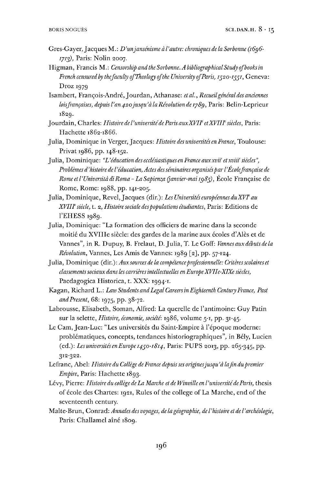- Gres-Gayer,Jacques M.: *D'unjansénisme å I'autre: chroniques de la Sorbonne (1696- 1713),* Paris: Nolin 2007.
- Higman, Francis M.: *Censorship and the Sorbonne. A bibliographical Study ojbooksin French censured by thefacuity ofTheology ofthe University ofParis, ryzo-ryyr,* Geneva: Droz 1979
- Isambert, Francois-Andre,Jourdan, Athanase: *etal., Recueilgeneraldes anciennes lois françaises, depuis l'an 420 jusqu'à la Révolution de 1789, Paris: Belin-Leprieur* 1829.
- Jourdain, Charles: *Histoiredel'universitedeParisauxXVH etXVIIPsiedes,* Paris: Hachette 1862-1866.
- Julia, Dominique in Verger, Jacques: *HistoiredesuniversitésenFrance,* Toulouse: Privat 1986, pp. 148-152.
- Julia, Dominique: *"L:'education des ecclesiastiques en France auxxvii' etxviifsiedes", Problémesd'histoire del'éducation, Actes desséminaires organisesparTEcolefranqaise de Rome etl'Universita diRoma-LaSapienza (janvier-maiig8f),* Ecole Francaisc de Rome, Rome: 1988, pp. 141-205.
- Julia, Dominique, Revel,Jacques (dir.): *Les Universités européennes duXVVau XVIITsiede,* t. 2, *Histoire sodale despopulations étudiantes,* Paris: Editions de <sup>1</sup>'EHESS 1989.
- Julia, Dominique: "La formation des officiers de marine dans la seconde moitié du XVIIIe siede: des gardes de la marine aux écoles d'Alés et de Vannes", in R. Dupuy, B. Frelaut, D. Julia, T. Le Goff: *Vannes aux debuts de la Revolution,* Vannes, Les Amis de Vannes: 1989 [2], pp. 57-124.
- Julia, Dominique (dir.): *Auxsources de la competenceprofessionnelle: Critéresscolaires et classementssociaux dansles carriéresintellectuelles en EuropeXVIIe-XIXe siedes,* Paedagogica Historica, t. XXX: 1994-1.
- Kagan, Richard L.: *Law Students andLegal CareersinEighteenth CenturyFrance, Past andPresent,* 68: 1975, pp. 38-72.
- Labrousse, Elisabeth, Soman, Alfred: La querelle de l'antimoine: Guy Patin sur la selette, *Histoire, economic, société:* 1986, volume 5-1, pp. 31-45.
- Le Cam, Jean-Luc: "Les universités du Saint-Empire å l'époque moderne: problématiques, concepts, tendances historiographiques", in Bely, Lucien (ed.): *LesuniversitésenEurope 1490-1814,* Paris: PUPS 2013, pp. 265-345, pp. 312-322.
- Lefranc, Abel: *Histoire du College deFrance depuisses originesjusqu 'a lafin dupremier Empire,* Paris: Hachette 1893.
- Levy, Pierre: *Histoire du college deLa Marche et de Winvilleenl'universitédeParis,* thesis of école des Chartes: 1921, Rules of the college of La Marche, end of the seventeenth century.
- Malte-Brun, Conrad: *Annales des voyages, de lageographic, del'histoire et del'archéologie,* Paris: Challamel aîné 1809.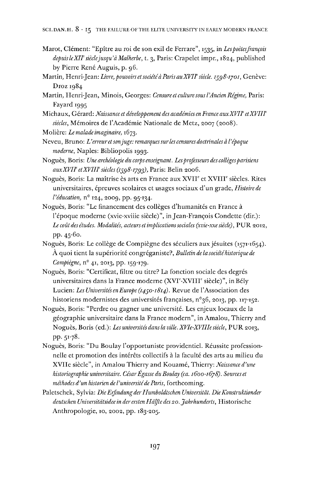- Marot, Clément: "Epitre au roi de son exil de Ferrare", 1535, in *Lespoelesjrancois depuisleXIFsiéclejusqu'å Malherbe,* t. 3, Paris: Crapelet impr., 1824, published by Pierre René Auguis, p. 96.
- Martin, Henri-Jean: *Livre,pouvoirsetsodétéåParisauXVIFsiede. 1598-1701,* Geneve: Droz 1984
- Martin, Henri-Jean, Minois, Georges: *Censureet culture sousI'Ancien Regime,* Paris: Fayard 1995
- Michaux, Gerard: *Naissance et développement des academies en France auxXVIFetXVIIF* siècles, Mémoires de l'Académie Nationale de Metz, 2007 (2008).
- Moliére: *Lemalade rmaginarre,* 1673.
- Neveu, Bruno: *L'erreuretsonjuge: remarquessurles censures doctrinalesål'époque moderne,* Naples: Bibliopolis 1993.
- Nogués, Boris: *Une archéologie du corps enseignant. Lesprofesseurs des collegesparisiens auxXVIFetXVIIFsiécles (1598-1799),* Paris: Belin 2006.
- Nogués, Boris: La maitrise és arts en France aux XVIF et XVIIF siedes. Rites universitaires, épreuves scolaires et usages sociaux d'un grade, *Histoirede l'éducation,* n° 124, 2009, pp. 95-134.
- Nogués, Boris: "Le financement des colléges d'humanités en France å l'époque moderne (xvie-xviiie siécle)", in Jean-Francois Condette (dir.): *Le cout des etudes. Modalités, acteurs et implicationssodales (xvie-xxe siécle),* PUR 2012, pp. 45-60.
- Nogués, Boris: Le collége de Compiégne des séculiers auxjésuites (1571-1654). A quoi tient la supériorité congréganiste?, *Bulletin de la sodétéhistorique de Compiégne,* n° 41, 2013, pp. 159-179.
- Nogués, Boris: "Certificat, filtre ou titre? La fonetion sociale des degrés universitaires dans la France moderne (XVI<sup>e</sup>-XVIII<sup>e</sup> siècle)", in Bély Lucien: *Les Universités enEurope (1450-1814).* Revue de l'Assodation des historiens modernistes des universités françaises, n°36, 2013, pp. 117-152.
- Nogués, Boris: "Perdre ou gagner une université. Les enjeux locaux de la géographie universitaire dans la France modern", in Amalou, Thierry and Nogués, Boris (ed.): *Les universités dansla ville. XVIe-XVIIIe siécle,* PUR 2013, pp. 51-78.
- Nogués, Boris: "Du Boulay l'opportuniste providentiel. Réussite professionnelle et promotion des intéréts collectifs å la faculté des arts au milieu du XVIIe siécle", in Amalou Thierry and Kouamé, Thierry: *Naissance d'une Historiographieuniversitaire. CésarEgasseduBoulay (ca. 1600-1678). Sourceset méthodes d'un historien de l'universitédeParis,* forthcoming.
- Paletschek, Sylvia: *DieErfindungderHumboldtschen Universität. DieKonstruktionder deutschen Universitätsidee in der ersten Hälfte des20. Jahrhunderts,* Historische Anthropologie, 10, 2002, pp. 183-205.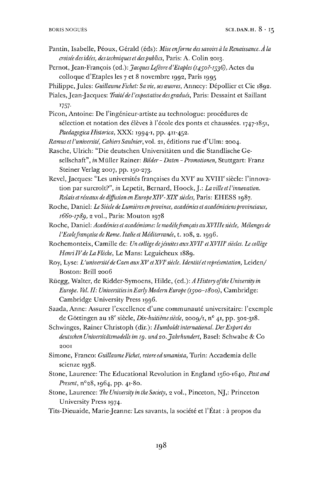- Pantin, Isabelle, Péoux, Gerald (eds): *Mise enforme dessavoirs åla Renaissance. Åla croisée desidées, destechniques et despublics,* Paris: A. Colin 2013.
- Pernot,Jean-Fran^ois (ed.): *JacquesLefevred'Etaples(j4^o?-i^6),* Actes du colloque d'Etaples les <sup>7</sup> et 8 novembre 1992, Paris 1995
- Philippe,Jules: *GuillaumeFichet: Sa vie, sesceuvres,* Annecy: Dépollier et Cie 1892.
- Piales,Jean-Jacques: *Traitédel'expectativedesgradués,* Paris: Dessaint et Saillant x757-
- Picon, Antoine: De l'ingénieur-artiste au technologue: procedures de sélection et notation des élèves à l'école des ponts et chaussées. 1747-1851, *Paedagogica Historica,* XXX: 1994-1, pp. 411-452.
- *Ramus et l'université, Cahiers Saulnier,* vol. 21, editions rue d'Ulm: 2004.
- Rasche, Ulrich: "Die deutschen Universitäten und die Standlische Gesellschaft", in Müller Rainer: *Bilder- Daten -Promotionen,* Stuttgart: Franz Steiner Verlag 2007, pp. 150-273.

Revel, Jacques: "Les universités francaises du XVI<sup>e</sup> au XVIII<sup>e</sup> siècle: l'innovation par surcroît?", *in* Lepetit, Bernard, Hoock, J.: *La ville et l'innovation*. *Relais etréseaux de diffiisionen EuropeXIV-XIXsiedes,* Paris: EHESS 1987.

Roche, Daniel: *Le Siécle deLumiéresenprovince, academies etacadémiciensprovinciaux, 1660-1789,* 2 vol., Paris: Mouton 1978

Roche, Daniel: *Academies et académisme: lemodelefranqaisauXVIIIe siécle, Melanges de I'Ecolefranqaise deRome. Italie et Mediterranee,* 1.108, 2.1996.

- Rochemonteix, Camille de: *Un college dejésuites auxXVIPetXVIIPsiedes. Le college HenriIVdeLaFléche,* Le Mans: Leguicheux 1889.
- Roy, Lyse: *L'universitéde Caen auxXVetXVFsiécle. Identitéetrepresentation,* Leiden/ Boston: Brill 2006
- Rüegg, Walter, de Ridder-Symoens, Hilde, (ed.): *AHistory ofthe University in Europe. Vol. II: UniversitiesinEarly ModemEurope (1500-1800),* Cambridge: Cambridge University Press 1996.

Saada, Anne: Assurer l'excellence d'une communauté universitaire: <sup>1</sup>'exemple de Göttingen au i8<sup>e</sup> siécle, *Dix-huitiémesiécle,* 2009/1, n° 41, pp. 302-318.

Schwinges, Rainer Christoph (dir.): *Humboldt international. DerExport des deutschen Universitätsmodellsimig. und20. Jahrhundert,* Basel: Schwabe & Co 2001

- Simone, Franco: *GuillaumeFichet, retore edumanista,* Turin: Accademia delle scienze 1938.
- Stone, Laurence: The Educational Revolution in England 1560-1640, *Pastand Present,* n°28,1964, pp. 41-80.
- Stone, Laurence: *The University in the Society,* 2 vol., Pinceton, NJ,: Princeton University Press 1974.
- Tits-Dieuaide, Marie-Jeanne: Les savants, la société et l'Etat: å propos du